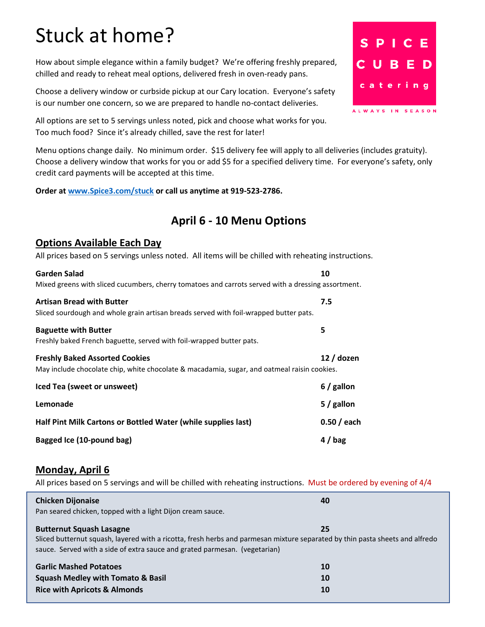# Stuck at home?

How about simple elegance within a family budget? We're offering freshly prepared, chilled and ready to reheat meal options, delivered fresh in oven-ready pans.

Choose a delivery window or curbside pickup at our Cary location. Everyone's safety is our number one concern, so we are prepared to handle no-contact deliveries.

All options are set to 5 servings unless noted, pick and choose what works for you. Too much food? Since it's already chilled, save the rest for later!

Menu options change daily. No minimum order. \$15 delivery fee will apply to all deliveries (includes gratuity). Choose a delivery window that works for you or add \$5 for a specified delivery time. For everyone's safety, only credit card payments will be accepted at this time.

**Order at [www.Spice3.com/stuck](http://www.spice3.com/stuck) or call us anytime at 919-523-2786.**

# **April 6 - 10 Menu Options**

#### **Options Available Each Day**

All prices based on 5 servings unless noted. All items will be chilled with reheating instructions.

| Garden Salad<br>Mixed greens with sliced cucumbers, cherry tomatoes and carrots served with a dressing assortment.                   | 10           |
|--------------------------------------------------------------------------------------------------------------------------------------|--------------|
| Artisan Bread with Butter<br>Sliced sourdough and whole grain artisan breads served with foil-wrapped butter pats.                   | 7.5          |
| <b>Baguette with Butter</b><br>Freshly baked French baguette, served with foil-wrapped butter pats.                                  | 5            |
| <b>Freshly Baked Assorted Cookies</b><br>May include chocolate chip, white chocolate & macadamia, sugar, and oatmeal raisin cookies. | 12 / dozen   |
| Iced Tea (sweet or unsweet)                                                                                                          | $6/$ gallon  |
| Lemonade                                                                                                                             | $5/$ gallon  |
| Half Pint Milk Cartons or Bottled Water (while supplies last)                                                                        | $0.50/$ each |
| <b>Bagged Ice (10-pound bag)</b>                                                                                                     | $4/$ bag     |

#### **Monday, April 6**

All prices based on 5 servings and will be chilled with reheating instructions. Must be ordered by evening of 4/4

| <b>Chicken Dijonaise</b><br>Pan seared chicken, topped with a light Dijon cream sauce.                                                                                                                                                        | 40             |
|-----------------------------------------------------------------------------------------------------------------------------------------------------------------------------------------------------------------------------------------------|----------------|
| <b>Butternut Squash Lasagne</b><br>Sliced butternut squash, layered with a ricotta, fresh herbs and parmesan mixture separated by thin pasta sheets and alfredo<br>sauce. Served with a side of extra sauce and grated parmesan. (vegetarian) | 25             |
| <b>Garlic Mashed Potatoes</b><br><b>Squash Medley with Tomato &amp; Basil</b><br><b>Rice with Apricots &amp; Almonds</b>                                                                                                                      | 10<br>10<br>10 |